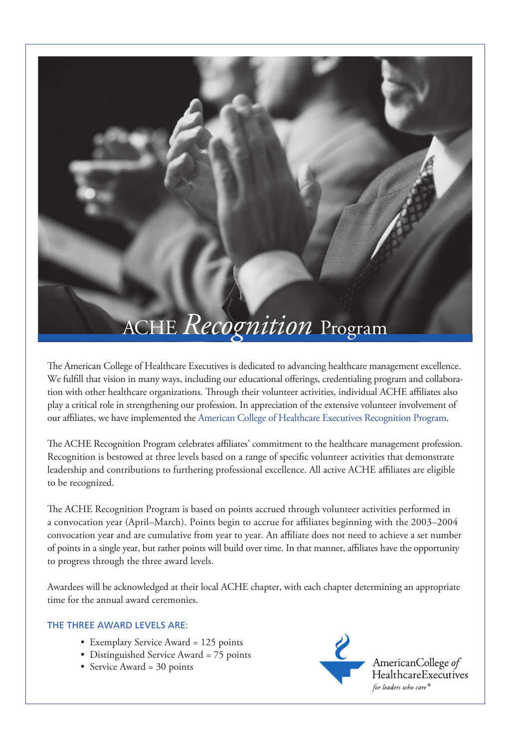## ACHE *Recognition* Program

The American College of Healthcare Executives is dedicated to advancing healthcare management excellence. We fulfill that vision in many ways, including our educational offerings, credentialing program and collaboration with other healthcare organizations. Through their volunteer activities, individual ACHE affiliates also play a critical role in strengthening our profession. In appreciation of the extensive volunteer involvement of our affiliates, we have implemented the American College of Healthcare Executives Recognition Program.

The ACHE Recognition Program celebrates affiliates' commitment to the healthcare management profession. Recognition is bestowed at three levels based on a range of specific volunteer activities that demonstrate leadership and contributions to furthering professional excellence. All active ACHE affiliates are eligible to be recognized.

The ACHE Recognition Program is based on points accrued through volunteer activities performed in a convocation year (April–March). Points begin to accrue for affiliates beginning with the 2003–2004 convocation year and are cumulative from year to year. An affiliate does not need to achieve a set number of points in a single year, but rather points will build over time. In that manner, affiliates have the opportunity to progress through the three award levels.

Awardees will be acknowledged at their local ACHE chapter, with each chapter determining an appropriate time for the annual award ceremonies.

## The three award levels are:

- Exemplary Service Award = 125 points
- Distinguished Service Award = 75 points
- Service Award = 30 points